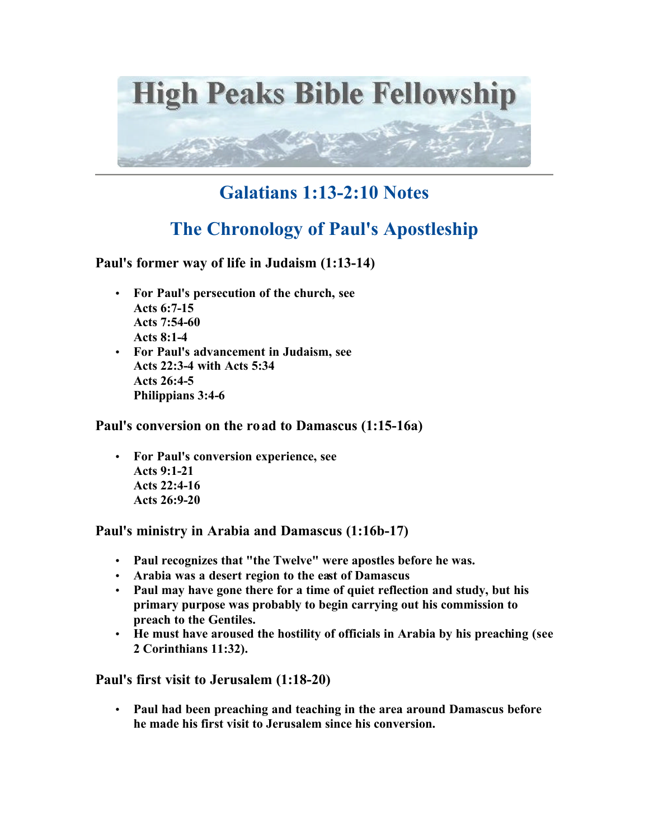

## **Galatians 1:13-2:10 Notes**

## **The Chronology of Paul's Apostleship**

**Paul's former way of life in Judaism (1:13-14)**

- **For Paul's persecution of the church, see Acts 6:7-15 Acts 7:54-60 Acts 8:1-4**
- **For Paul's advancement in Judaism, see Acts 22:3-4 with Acts 5:34 Acts 26:4-5 Philippians 3:4-6**

**Paul's conversion on the road to Damascus (1:15-16a)**

• **For Paul's conversion experience, see Acts 9:1-21 Acts 22:4-16 Acts 26:9-20** 

**Paul's ministry in Arabia and Damascus (1:16b-17)**

- **Paul recognizes that "the Twelve" were apostles before he was.**
- **Arabia was a desert region to the east of Damascus**
- **Paul may have gone there for a time of quiet reflection and study, but his primary purpose was probably to begin carrying out his commission to preach to the Gentiles.**
- **He must have aroused the hostility of officials in Arabia by his preaching (see 2 Corinthians 11:32).**

**Paul's first visit to Jerusalem (1:18-20)**

• **Paul had been preaching and teaching in the area around Damascus before he made his first visit to Jerusalem since his conversion.**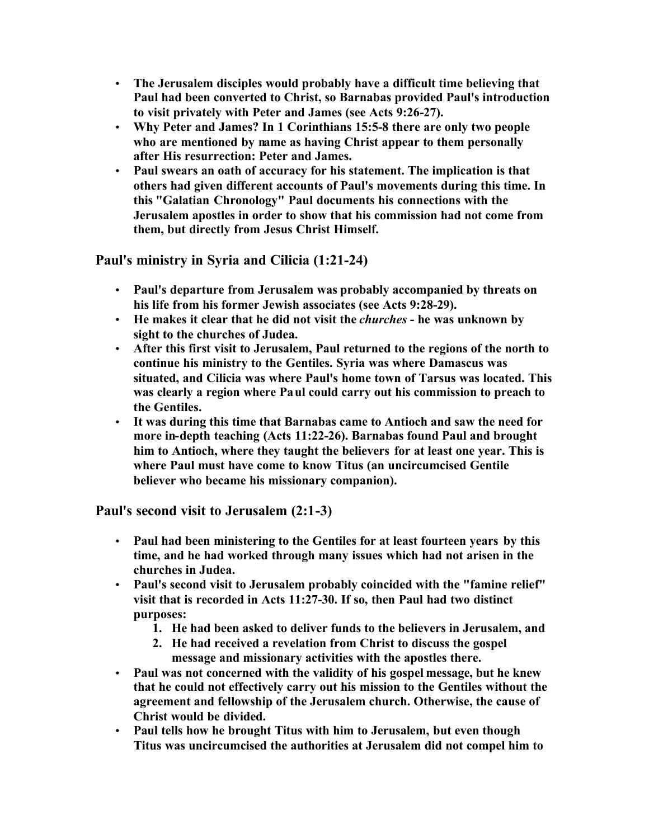- **The Jerusalem disciples would probably have a difficult time believing that Paul had been converted to Christ, so Barnabas provided Paul's introduction to visit privately with Peter and James (see Acts 9:26-27).**
- **Why Peter and James? In 1 Corinthians 15:5-8 there are only two people who are mentioned by name as having Christ appear to them personally after His resurrection: Peter and James.**
- **Paul swears an oath of accuracy for his statement. The implication is that others had given different accounts of Paul's movements during this time. In this "Galatian Chronology" Paul documents his connections with the Jerusalem apostles in order to show that his commission had not come from them, but directly from Jesus Christ Himself.**

**Paul's ministry in Syria and Cilicia (1:21-24)**

- **Paul's departure from Jerusalem was probably accompanied by threats on his life from his former Jewish associates (see Acts 9:28-29).**
- **He makes it clear that he did not visit the** *churches*  **he was unknown by sight to the churches of Judea.**
- **After this first visit to Jerusalem, Paul returned to the regions of the north to continue his ministry to the Gentiles. Syria was where Damascus was situated, and Cilicia was where Paul's home town of Tarsus was located. This was clearly a region where Paul could carry out his commission to preach to the Gentiles.**
- **It was during this time that Barnabas came to Antioch and saw the need for more in-depth teaching (Acts 11:22-26). Barnabas found Paul and brought him to Antioch, where they taught the believers for at least one year. This is where Paul must have come to know Titus (an uncircumcised Gentile believer who became his missionary companion).**

**Paul's second visit to Jerusalem (2:1-3)**

- **Paul had been ministering to the Gentiles for at least fourteen years by this time, and he had worked through many issues which had not arisen in the churches in Judea.**
- **Paul's second visit to Jerusalem probably coincided with the "famine relief" visit that is recorded in Acts 11:27-30. If so, then Paul had two distinct purposes:** 
	- **1. He had been asked to deliver funds to the believers in Jerusalem, and**
	- **2. He had received a revelation from Christ to discuss the gospel message and missionary activities with the apostles there.**
- **Paul was not concerned with the validity of his gospel message, but he knew that he could not effectively carry out his mission to the Gentiles without the agreement and fellowship of the Jerusalem church. Otherwise, the cause of Christ would be divided.**
- **Paul tells how he brought Titus with him to Jerusalem, but even though Titus was uncircumcised the authorities at Jerusalem did not compel him to**